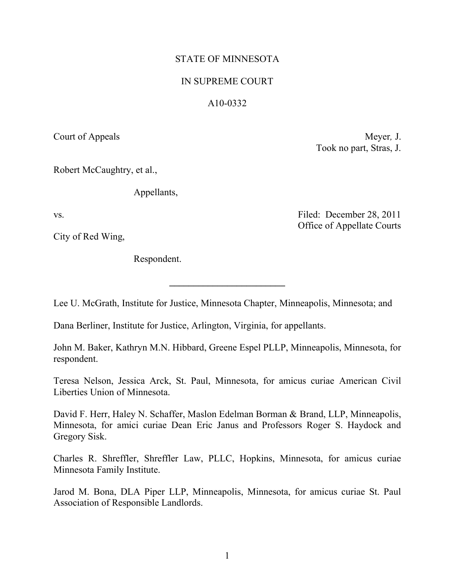# STATE OF MINNESOTA

## IN SUPREME COURT

### A10-0332

Court of Appeals Meyer, J. Took no part, Stras, J.

Robert McCaughtry, et al.,

Appellants,

City of Red Wing,

Respondent.

vs. Filed: December 28, 2011 Office of Appellate Courts

Lee U. McGrath, Institute for Justice, Minnesota Chapter, Minneapolis, Minnesota; and

**\_\_\_\_\_\_\_\_\_\_\_\_\_\_\_\_\_\_\_\_\_\_\_\_**

Dana Berliner, Institute for Justice, Arlington, Virginia, for appellants.

John M. Baker, Kathryn M.N. Hibbard, Greene Espel PLLP, Minneapolis, Minnesota, for respondent.

Teresa Nelson, Jessica Arck, St. Paul, Minnesota, for amicus curiae American Civil Liberties Union of Minnesota.

David F. Herr, Haley N. Schaffer, Maslon Edelman Borman & Brand, LLP, Minneapolis, Minnesota, for amici curiae Dean Eric Janus and Professors Roger S. Haydock and Gregory Sisk.

Charles R. Shreffler, Shreffler Law, PLLC, Hopkins, Minnesota, for amicus curiae Minnesota Family Institute.

Jarod M. Bona, DLA Piper LLP, Minneapolis, Minnesota, for amicus curiae St. Paul Association of Responsible Landlords.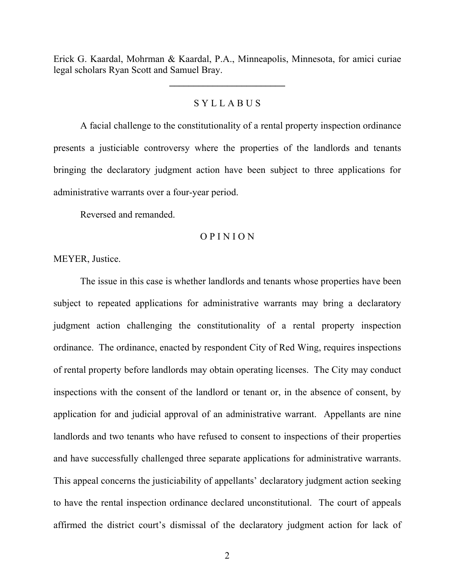Erick G. Kaardal, Mohrman & Kaardal, P.A., Minneapolis, Minnesota, for amici curiae legal scholars Ryan Scott and Samuel Bray.

**\_\_\_\_\_\_\_\_\_\_\_\_\_\_\_\_\_\_\_\_\_\_\_\_**

#### S Y L L A B U S

A facial challenge to the constitutionality of a rental property inspection ordinance presents a justiciable controversy where the properties of the landlords and tenants bringing the declaratory judgment action have been subject to three applications for administrative warrants over a four-year period.

Reversed and remanded.

#### O P I N I O N

MEYER, Justice.

The issue in this case is whether landlords and tenants whose properties have been subject to repeated applications for administrative warrants may bring a declaratory judgment action challenging the constitutionality of a rental property inspection ordinance. The ordinance, enacted by respondent City of Red Wing, requires inspections of rental property before landlords may obtain operating licenses. The City may conduct inspections with the consent of the landlord or tenant or, in the absence of consent, by application for and judicial approval of an administrative warrant. Appellants are nine landlords and two tenants who have refused to consent to inspections of their properties and have successfully challenged three separate applications for administrative warrants. This appeal concerns the justiciability of appellants' declaratory judgment action seeking to have the rental inspection ordinance declared unconstitutional. The court of appeals affirmed the district court's dismissal of the declaratory judgment action for lack of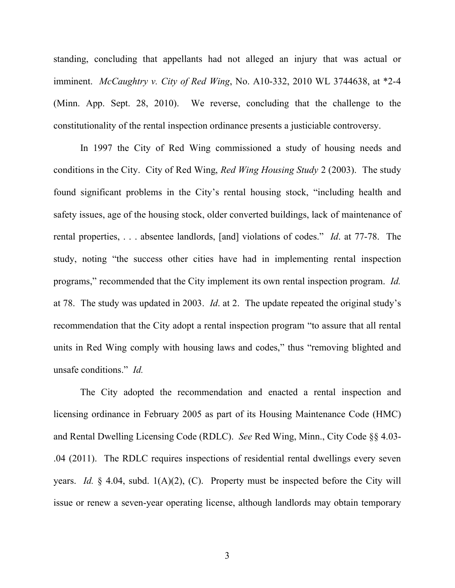standing, concluding that appellants had not alleged an injury that was actual or imminent. *McCaughtry v. City of Red Wing*, No. A10-332, 2010 WL 3744638, at \*2-4 (Minn. App. Sept. 28, 2010). We reverse, concluding that the challenge to the constitutionality of the rental inspection ordinance presents a justiciable controversy.

In 1997 the City of Red Wing commissioned a study of housing needs and conditions in the City. City of Red Wing, *Red Wing Housing Study* 2 (2003). The study found significant problems in the City's rental housing stock, "including health and safety issues, age of the housing stock, older converted buildings, lack of maintenance of rental properties, . . . absentee landlords, [and] violations of codes." *Id*. at 77-78. The study, noting "the success other cities have had in implementing rental inspection programs," recommended that the City implement its own rental inspection program. *Id.* at 78. The study was updated in 2003. *Id*. at 2. The update repeated the original study's recommendation that the City adopt a rental inspection program "to assure that all rental units in Red Wing comply with housing laws and codes," thus "removing blighted and unsafe conditions." *Id.*

The City adopted the recommendation and enacted a rental inspection and licensing ordinance in February 2005 as part of its Housing Maintenance Code (HMC) and Rental Dwelling Licensing Code (RDLC). *See* Red Wing, Minn., City Code §§ 4.03- .04 (2011). The RDLC requires inspections of residential rental dwellings every seven years. *Id.* § 4.04, subd. 1(A)(2), (C). Property must be inspected before the City will issue or renew a seven-year operating license, although landlords may obtain temporary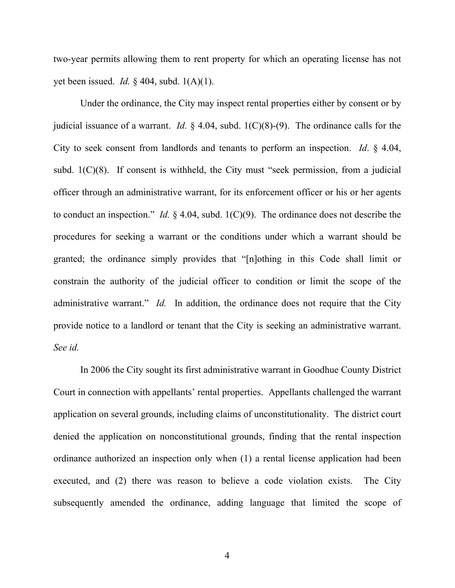two-year permits allowing them to rent property for which an operating license has not yet been issued. *Id.* § 404, subd. 1(A)(1).

Under the ordinance, the City may inspect rental properties either by consent or by judicial issuance of a warrant. *Id.* § 4.04, subd. 1(C)(8)-(9). The ordinance calls for the City to seek consent from landlords and tenants to perform an inspection. *Id*. § 4.04, subd. 1(C)(8). If consent is withheld, the City must "seek permission, from a judicial officer through an administrative warrant, for its enforcement officer or his or her agents to conduct an inspection." *Id.* § 4.04, subd. 1(C)(9). The ordinance does not describe the procedures for seeking a warrant or the conditions under which a warrant should be granted; the ordinance simply provides that "[n]othing in this Code shall limit or constrain the authority of the judicial officer to condition or limit the scope of the administrative warrant." *Id.* In addition, the ordinance does not require that the City provide notice to a landlord or tenant that the City is seeking an administrative warrant. *See id.*

In 2006 the City sought its first administrative warrant in Goodhue County District Court in connection with appellants' rental properties. Appellants challenged the warrant application on several grounds, including claims of unconstitutionality. The district court denied the application on nonconstitutional grounds, finding that the rental inspection ordinance authorized an inspection only when (1) a rental license application had been executed, and (2) there was reason to believe a code violation exists. The City subsequently amended the ordinance, adding language that limited the scope of

4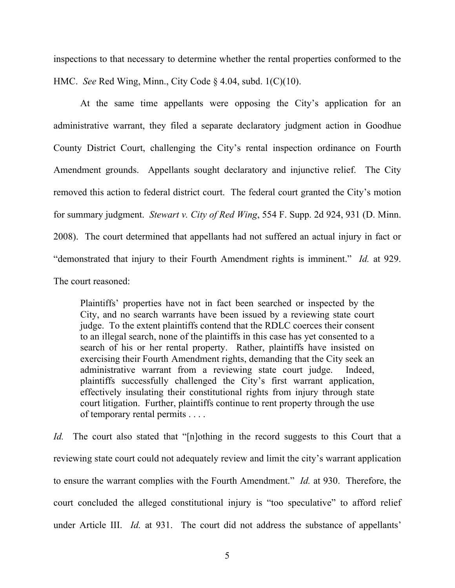inspections to that necessary to determine whether the rental properties conformed to the HMC. *See* Red Wing, Minn., City Code § 4.04, subd. 1(C)(10).

At the same time appellants were opposing the City's application for an administrative warrant, they filed a separate declaratory judgment action in Goodhue County District Court, challenging the City's rental inspection ordinance on Fourth Amendment grounds. Appellants sought declaratory and injunctive relief. The City removed this action to federal district court. The federal court granted the City's motion for summary judgment. *Stewart v. City of Red Wing*, 554 F. Supp. 2d 924, 931 (D. Minn. 2008). The court determined that appellants had not suffered an actual injury in fact or "demonstrated that injury to their Fourth Amendment rights is imminent." *Id.* at 929. The court reasoned:

Plaintiffs' properties have not in fact been searched or inspected by the City, and no search warrants have been issued by a reviewing state court judge. To the extent plaintiffs contend that the RDLC coerces their consent to an illegal search, none of the plaintiffs in this case has yet consented to a search of his or her rental property. Rather, plaintiffs have insisted on exercising their Fourth Amendment rights, demanding that the City seek an administrative warrant from a reviewing state court judge. Indeed, plaintiffs successfully challenged the City's first warrant application, effectively insulating their constitutional rights from injury through state court litigation. Further, plaintiffs continue to rent property through the use of temporary rental permits . . . .

*Id.* The court also stated that "[n]othing in the record suggests to this Court that a reviewing state court could not adequately review and limit the city's warrant application to ensure the warrant complies with the Fourth Amendment." *Id.* at 930. Therefore, the court concluded the alleged constitutional injury is "too speculative" to afford relief under Article III. *Id.* at 931. The court did not address the substance of appellants'

5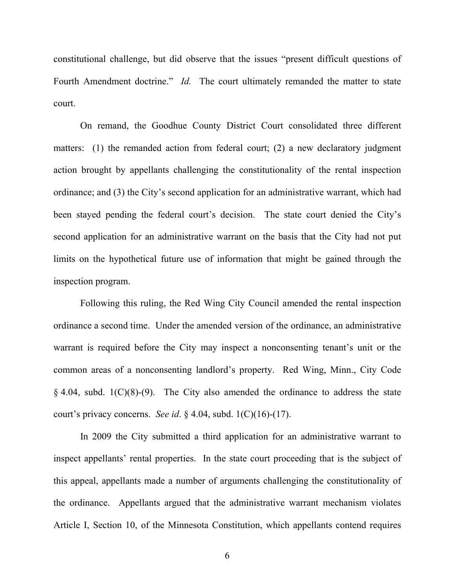constitutional challenge, but did observe that the issues "present difficult questions of Fourth Amendment doctrine." *Id.* The court ultimately remanded the matter to state court.

On remand, the Goodhue County District Court consolidated three different matters: (1) the remanded action from federal court; (2) a new declaratory judgment action brought by appellants challenging the constitutionality of the rental inspection ordinance; and (3) the City's second application for an administrative warrant, which had been stayed pending the federal court's decision. The state court denied the City's second application for an administrative warrant on the basis that the City had not put limits on the hypothetical future use of information that might be gained through the inspection program.

Following this ruling, the Red Wing City Council amended the rental inspection ordinance a second time. Under the amended version of the ordinance, an administrative warrant is required before the City may inspect a nonconsenting tenant's unit or the common areas of a nonconsenting landlord's property. Red Wing, Minn., City Code  $§$  4.04, subd. 1(C)(8)-(9). The City also amended the ordinance to address the state court's privacy concerns. *See id*. § 4.04, subd. 1(C)(16)-(17).

In 2009 the City submitted a third application for an administrative warrant to inspect appellants' rental properties. In the state court proceeding that is the subject of this appeal, appellants made a number of arguments challenging the constitutionality of the ordinance. Appellants argued that the administrative warrant mechanism violates Article I, Section 10, of the Minnesota Constitution, which appellants contend requires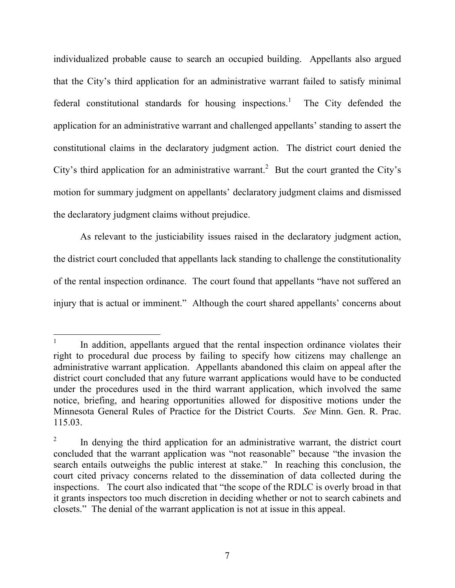individualized probable cause to search an occupied building. Appellants also argued that the City's third application for an administrative warrant failed to satisfy minimal federal constitutional standards for housing inspections.<sup>[1](#page-6-0)</sup> The City defended the application for an administrative warrant and challenged appellants' standing to assert the constitutional claims in the declaratory judgment action. The district court denied the City's third application for an administrative warrant.<sup>[2](#page-6-1)</sup> But the court granted the City's motion for summary judgment on appellants' declaratory judgment claims and dismissed the declaratory judgment claims without prejudice.

As relevant to the justiciability issues raised in the declaratory judgment action, the district court concluded that appellants lack standing to challenge the constitutionality of the rental inspection ordinance. The court found that appellants "have not suffered an injury that is actual or imminent." Although the court shared appellants' concerns about

 $\overline{a}$ 

<span id="page-6-0"></span><sup>1</sup> In addition, appellants argued that the rental inspection ordinance violates their right to procedural due process by failing to specify how citizens may challenge an administrative warrant application. Appellants abandoned this claim on appeal after the district court concluded that any future warrant applications would have to be conducted under the procedures used in the third warrant application, which involved the same notice, briefing, and hearing opportunities allowed for dispositive motions under the Minnesota General Rules of Practice for the District Courts. *See* Minn. Gen. R. Prac. 115.03.

<span id="page-6-1"></span><sup>2</sup> In denying the third application for an administrative warrant, the district court concluded that the warrant application was "not reasonable" because "the invasion the search entails outweighs the public interest at stake." In reaching this conclusion, the court cited privacy concerns related to the dissemination of data collected during the inspections. The court also indicated that "the scope of the RDLC is overly broad in that it grants inspectors too much discretion in deciding whether or not to search cabinets and closets." The denial of the warrant application is not at issue in this appeal.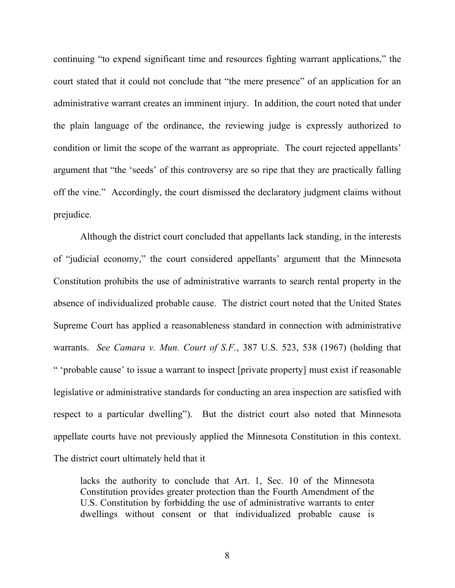continuing "to expend significant time and resources fighting warrant applications," the court stated that it could not conclude that "the mere presence" of an application for an administrative warrant creates an imminent injury. In addition, the court noted that under the plain language of the ordinance, the reviewing judge is expressly authorized to condition or limit the scope of the warrant as appropriate. The court rejected appellants' argument that "the 'seeds' of this controversy are so ripe that they are practically falling off the vine." Accordingly, the court dismissed the declaratory judgment claims without prejudice.

Although the district court concluded that appellants lack standing, in the interests of "judicial economy," the court considered appellants' argument that the Minnesota Constitution prohibits the use of administrative warrants to search rental property in the absence of individualized probable cause. The district court noted that the United States Supreme Court has applied a reasonableness standard in connection with administrative warrants. *See Camara v. Mun. Court of S.F.*, 387 U.S. 523, 538 (1967) (holding that " 'probable cause' to issue a warrant to inspect [private property] must exist if reasonable legislative or administrative standards for conducting an area inspection are satisfied with respect to a particular dwelling"). But the district court also noted that Minnesota appellate courts have not previously applied the Minnesota Constitution in this context. The district court ultimately held that it

lacks the authority to conclude that Art. 1, Sec. 10 of the Minnesota Constitution provides greater protection than the Fourth Amendment of the U.S. Constitution by forbidding the use of administrative warrants to enter dwellings without consent or that individualized probable cause is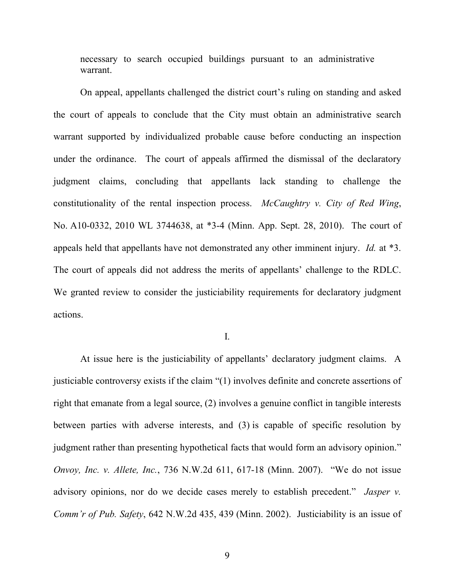necessary to search occupied buildings pursuant to an administrative warrant.

On appeal, appellants challenged the district court's ruling on standing and asked the court of appeals to conclude that the City must obtain an administrative search warrant supported by individualized probable cause before conducting an inspection under the ordinance. The court of appeals affirmed the dismissal of the declaratory judgment claims, concluding that appellants lack standing to challenge the constitutionality of the rental inspection process. *McCaughtry v. City of Red Wing*, No. A10-0332, 2010 WL 3744638, at \*3-4 (Minn. App. Sept. 28, 2010). The court of appeals held that appellants have not demonstrated any other imminent injury. *Id.* at \*3. The court of appeals did not address the merits of appellants' challenge to the RDLC. We granted review to consider the justiciability requirements for declaratory judgment actions.

I.

At issue here is the justiciability of appellants' declaratory judgment claims. A justiciable controversy exists if the claim "(1) involves definite and concrete assertions of right that emanate from a legal source, (2) involves a genuine conflict in tangible interests between parties with adverse interests, and (3) is capable of specific resolution by judgment rather than presenting hypothetical facts that would form an advisory opinion." *Onvoy, Inc. v. Allete, Inc.*, 736 N.W.2d 611, 617-18 (Minn. 2007). "We do not issue advisory opinions, nor do we decide cases merely to establish precedent." *Jasper v. Comm'r of Pub. Safety*, 642 N.W.2d 435, 439 (Minn. 2002). Justiciability is an issue of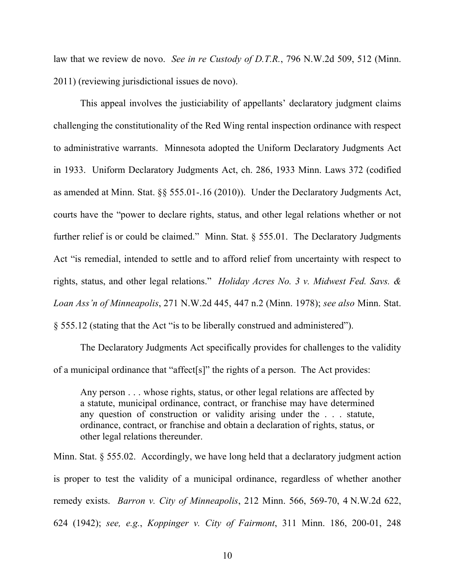law that we review de novo. *See in re Custody of D.T.R.*, 796 N.W.2d 509, 512 (Minn. 2011) (reviewing jurisdictional issues de novo).

This appeal involves the justiciability of appellants' declaratory judgment claims challenging the constitutionality of the Red Wing rental inspection ordinance with respect to administrative warrants. Minnesota adopted the Uniform Declaratory Judgments Act in 1933. Uniform Declaratory Judgments Act, ch. 286, 1933 Minn. Laws 372 (codified as amended at Minn. Stat. §§ 555.01-.16 (2010)). Under the Declaratory Judgments Act, courts have the "power to declare rights, status, and other legal relations whether or not further relief is or could be claimed." Minn. Stat. § 555.01. The Declaratory Judgments Act "is remedial, intended to settle and to afford relief from uncertainty with respect to rights, status, and other legal relations." *Holiday Acres No. 3 v. Midwest Fed. Savs. & Loan Ass'n of Minneapolis*, 271 N.W.2d 445, 447 n.2 (Minn. 1978); *see also* Minn. Stat. § 555.12 (stating that the Act "is to be liberally construed and administered").

The Declaratory Judgments Act specifically provides for challenges to the validity of a municipal ordinance that "affect[s]" the rights of a person. The Act provides:

Any person . . . whose rights, status, or other legal relations are affected by a statute, municipal ordinance, contract, or franchise may have determined any question of construction or validity arising under the . . . statute, ordinance, contract, or franchise and obtain a declaration of rights, status, or other legal relations thereunder.

Minn. Stat. § 555.02. Accordingly, we have long held that a declaratory judgment action is proper to test the validity of a municipal ordinance, regardless of whether another remedy exists. *Barron v. City of Minneapolis*, 212 Minn. 566, 569-70, 4 N.W.2d 622, 624 (1942); *see, e.g.*, *Koppinger v. City of Fairmont*, 311 Minn. 186, 200-01, 248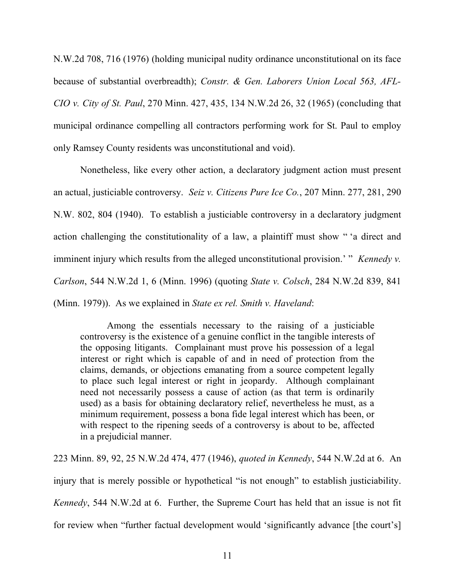N.W.2d 708, 716 (1976) (holding municipal nudity ordinance unconstitutional on its face because of substantial overbreadth); *Constr. & Gen. Laborers Union Local 563, AFL-CIO v. City of St. Paul*, 270 Minn. 427, 435, 134 N.W.2d 26, 32 (1965) (concluding that municipal ordinance compelling all contractors performing work for St. Paul to employ only Ramsey County residents was unconstitutional and void).

Nonetheless, like every other action, a declaratory judgment action must present an actual, justiciable controversy. *Seiz v. Citizens Pure Ice Co.*, 207 Minn. 277, 281, 290 N.W. 802, 804 (1940). To establish a justiciable controversy in a declaratory judgment action challenging the constitutionality of a law, a plaintiff must show " 'a direct and imminent injury which results from the alleged unconstitutional provision.' "*Kennedy v. Carlson*, 544 N.W.2d 1, 6 (Minn. 1996) (quoting *State v. Colsch*, 284 N.W.2d 839, 841 (Minn. 1979)). As we explained in *State ex rel. Smith v. Haveland*:

Among the essentials necessary to the raising of a justiciable controversy is the existence of a genuine conflict in the tangible interests of the opposing litigants. Complainant must prove his possession of a legal interest or right which is capable of and in need of protection from the claims, demands, or objections emanating from a source competent legally to place such legal interest or right in jeopardy. Although complainant need not necessarily possess a cause of action (as that term is ordinarily used) as a basis for obtaining declaratory relief, nevertheless he must, as a minimum requirement, possess a bona fide legal interest which has been, or with respect to the ripening seeds of a controversy is about to be, affected in a prejudicial manner.

223 Minn. 89, 92, 25 N.W.2d 474, 477 (1946), *quoted in Kennedy*, 544 N.W.2d at 6. An injury that is merely possible or hypothetical "is not enough" to establish justiciability. *Kennedy*, 544 N.W.2d at 6. Further, the Supreme Court has held that an issue is not fit for review when "further factual development would 'significantly advance [the court's]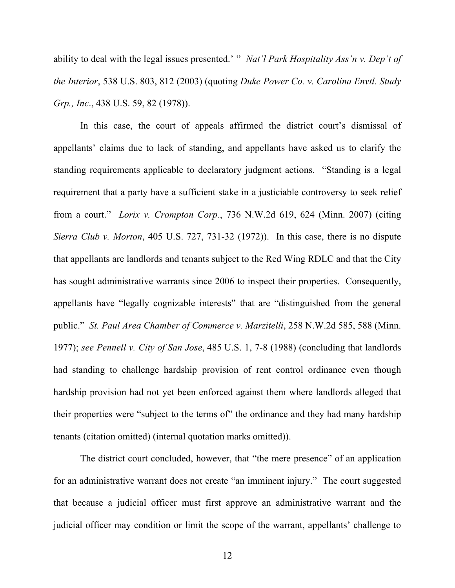ability to deal with the legal issues presented.' " *Nat'l Park Hospitality Ass'n v. Dep't of the Interior*, 538 U.S. 803, 812 (2003) (quoting *Duke Power Co. v. Carolina Envtl. Study Grp., Inc*., 438 U.S. 59, 82 (1978)).

In this case, the court of appeals affirmed the district court's dismissal of appellants' claims due to lack of standing, and appellants have asked us to clarify the standing requirements applicable to declaratory judgment actions. "Standing is a legal requirement that a party have a sufficient stake in a justiciable controversy to seek relief from a court." *Lorix v. Crompton Corp.*, 736 N.W.2d 619, 624 (Minn. 2007) (citing *Sierra Club v. Morton*, 405 U.S. 727, 731-32 (1972)). In this case, there is no dispute that appellants are landlords and tenants subject to the Red Wing RDLC and that the City has sought administrative warrants since 2006 to inspect their properties. Consequently, appellants have "legally cognizable interests" that are "distinguished from the general public." *St. Paul Area Chamber of Commerce v. Marzitelli*, 258 N.W.2d 585, 588 (Minn. 1977); *see Pennell v. City of San Jose*, 485 U.S. 1, 7-8 (1988) (concluding that landlords had standing to challenge hardship provision of rent control ordinance even though hardship provision had not yet been enforced against them where landlords alleged that their properties were "subject to the terms of" the ordinance and they had many hardship tenants (citation omitted) (internal quotation marks omitted)).

The district court concluded, however, that "the mere presence" of an application for an administrative warrant does not create "an imminent injury." The court suggested that because a judicial officer must first approve an administrative warrant and the judicial officer may condition or limit the scope of the warrant, appellants' challenge to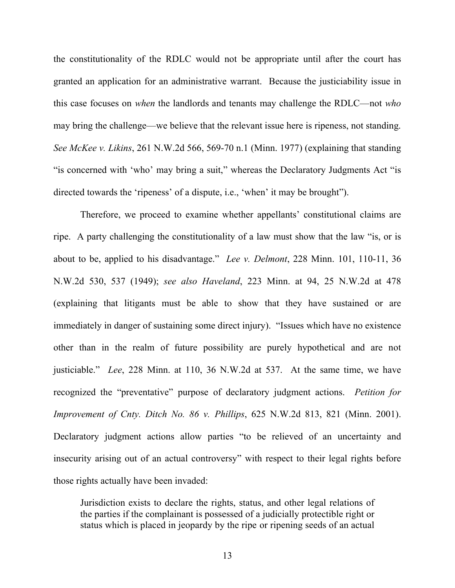the constitutionality of the RDLC would not be appropriate until after the court has granted an application for an administrative warrant. Because the justiciability issue in this case focuses on *when* the landlords and tenants may challenge the RDLC—not *who* may bring the challenge—we believe that the relevant issue here is ripeness, not standing. *See McKee v. Likins*, 261 N.W.2d 566, 569-70 n.1 (Minn. 1977) (explaining that standing "is concerned with 'who' may bring a suit," whereas the Declaratory Judgments Act "is directed towards the 'ripeness' of a dispute, i.e., 'when' it may be brought").

Therefore, we proceed to examine whether appellants' constitutional claims are ripe. A party challenging the constitutionality of a law must show that the law "is, or is about to be, applied to his disadvantage." *Lee v. Delmont*, 228 Minn. 101, 110-11, 36 N.W.2d 530, 537 (1949); *see also Haveland*, 223 Minn. at 94, 25 N.W.2d at 478 (explaining that litigants must be able to show that they have sustained or are immediately in danger of sustaining some direct injury). "Issues which have no existence other than in the realm of future possibility are purely hypothetical and are not justiciable." *Lee*, 228 Minn. at 110, 36 N.W.2d at 537. At the same time, we have recognized the "preventative" purpose of declaratory judgment actions. *Petition for Improvement of Cnty. Ditch No. 86 v. Phillips*, 625 N.W.2d 813, 821 (Minn. 2001). Declaratory judgment actions allow parties "to be relieved of an uncertainty and insecurity arising out of an actual controversy" with respect to their legal rights before those rights actually have been invaded:

Jurisdiction exists to declare the rights, status, and other legal relations of the parties if the complainant is possessed of a judicially protectible right or status which is placed in jeopardy by the ripe or ripening seeds of an actual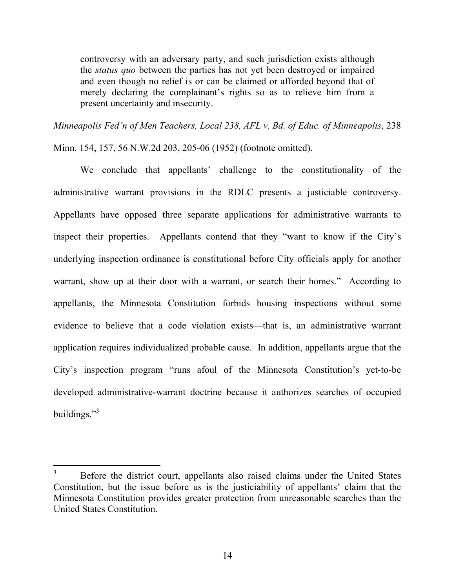controversy with an adversary party, and such jurisdiction exists although the *status quo* between the parties has not yet been destroyed or impaired and even though no relief is or can be claimed or afforded beyond that of merely declaring the complainant's rights so as to relieve him from a present uncertainty and insecurity.

*Minneapolis Fed'n of Men Teachers, Local 238, AFL v. Bd. of Educ. of Minneapolis*, 238 Minn. 154, 157, 56 N.W.2d 203, 205-06 (1952) (footnote omitted).

We conclude that appellants' challenge to the constitutionality of the administrative warrant provisions in the RDLC presents a justiciable controversy. Appellants have opposed three separate applications for administrative warrants to inspect their properties. Appellants contend that they "want to know if the City's underlying inspection ordinance is constitutional before City officials apply for another warrant, show up at their door with a warrant, or search their homes." According to appellants, the Minnesota Constitution forbids housing inspections without some evidence to believe that a code violation exists—that is, an administrative warrant application requires individualized probable cause. In addition, appellants argue that the City's inspection program "runs afoul of the Minnesota Constitution's yet-to-be developed administrative-warrant doctrine because it authorizes searches of occupied buildings."<sup>[3](#page-13-0)</sup>

 $\overline{a}$ 

<span id="page-13-0"></span><sup>&</sup>lt;sup>3</sup> Before the district court, appellants also raised claims under the United States Constitution, but the issue before us is the justiciability of appellants' claim that the Minnesota Constitution provides greater protection from unreasonable searches than the United States Constitution.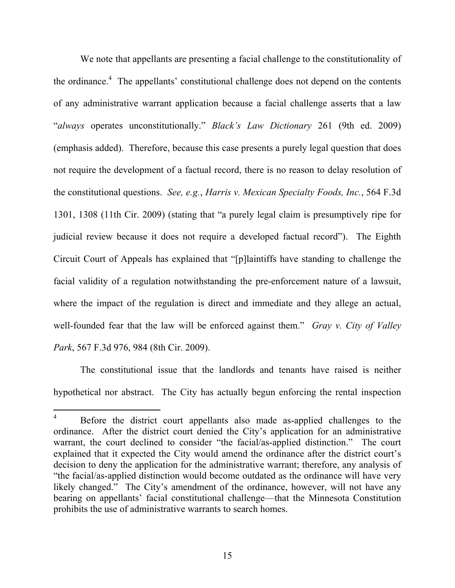We note that appellants are presenting a facial challenge to the constitutionality of the ordinance.<sup>[4](#page-14-0)</sup> The appellants' constitutional challenge does not depend on the contents of any administrative warrant application because a facial challenge asserts that a law "*always* operates unconstitutionally." *Black's Law Dictionary* 261 (9th ed. 2009) (emphasis added). Therefore, because this case presents a purely legal question that does not require the development of a factual record, there is no reason to delay resolution of the constitutional questions. *See, e.g.*, *Harris v. Mexican Specialty Foods, Inc.*, 564 F.3d 1301, 1308 (11th Cir. 2009) (stating that "a purely legal claim is presumptively ripe for judicial review because it does not require a developed factual record"). The Eighth Circuit Court of Appeals has explained that "[p]laintiffs have standing to challenge the facial validity of a regulation notwithstanding the pre-enforcement nature of a lawsuit, where the impact of the regulation is direct and immediate and they allege an actual, well-founded fear that the law will be enforced against them." *Gray v. City of Valley Park*, 567 F.3d 976, 984 (8th Cir. 2009).

The constitutional issue that the landlords and tenants have raised is neither hypothetical nor abstract. The City has actually begun enforcing the rental inspection

<span id="page-14-0"></span> $\overline{4}$ Before the district court appellants also made as-applied challenges to the ordinance. After the district court denied the City's application for an administrative warrant, the court declined to consider "the facial/as-applied distinction." The court explained that it expected the City would amend the ordinance after the district court's decision to deny the application for the administrative warrant; therefore, any analysis of "the facial/as-applied distinction would become outdated as the ordinance will have very likely changed." The City's amendment of the ordinance, however, will not have any bearing on appellants' facial constitutional challenge—that the Minnesota Constitution prohibits the use of administrative warrants to search homes.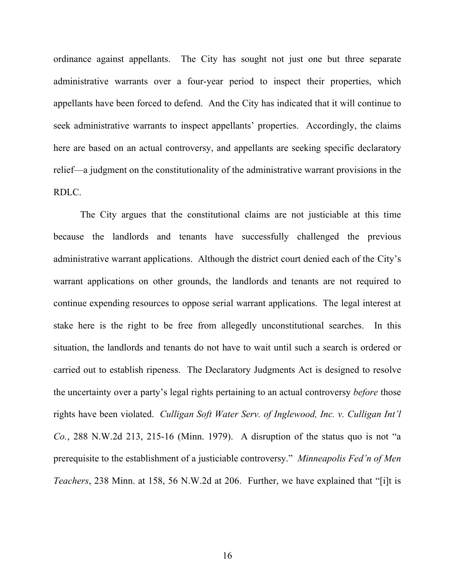ordinance against appellants. The City has sought not just one but three separate administrative warrants over a four-year period to inspect their properties, which appellants have been forced to defend. And the City has indicated that it will continue to seek administrative warrants to inspect appellants' properties. Accordingly, the claims here are based on an actual controversy, and appellants are seeking specific declaratory relief—a judgment on the constitutionality of the administrative warrant provisions in the RDLC.

The City argues that the constitutional claims are not justiciable at this time because the landlords and tenants have successfully challenged the previous administrative warrant applications. Although the district court denied each of the City's warrant applications on other grounds, the landlords and tenants are not required to continue expending resources to oppose serial warrant applications. The legal interest at stake here is the right to be free from allegedly unconstitutional searches. In this situation, the landlords and tenants do not have to wait until such a search is ordered or carried out to establish ripeness. The Declaratory Judgments Act is designed to resolve the uncertainty over a party's legal rights pertaining to an actual controversy *before* those rights have been violated. *Culligan Soft Water Serv. of Inglewood, Inc. v. Culligan Int'l Co.*, 288 N.W.2d 213, 215-16 (Minn. 1979). A disruption of the status quo is not "a prerequisite to the establishment of a justiciable controversy." *Minneapolis Fed'n of Men Teachers*, 238 Minn. at 158, 56 N.W.2d at 206. Further, we have explained that "[i]t is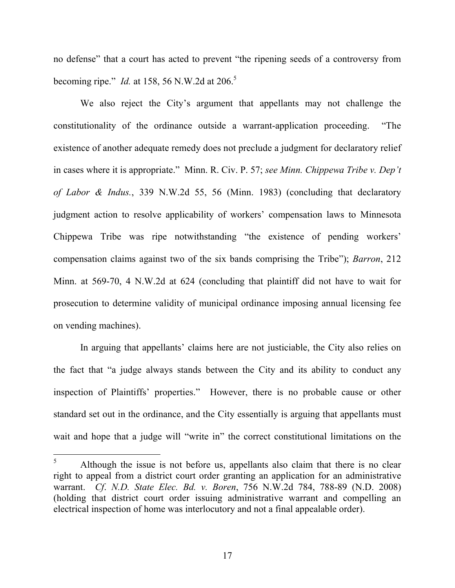no defense" that a court has acted to prevent "the ripening seeds of a controversy from becoming ripe." *Id.* at 1[5](#page-16-0)8, 56 N.W.2d at 206.<sup>5</sup>

We also reject the City's argument that appellants may not challenge the constitutionality of the ordinance outside a warrant-application proceeding. "The existence of another adequate remedy does not preclude a judgment for declaratory relief in cases where it is appropriate." Minn. R. Civ. P. 57; *see Minn. Chippewa Tribe v. Dep't of Labor & Indus.*, 339 N.W.2d 55, 56 (Minn. 1983) (concluding that declaratory judgment action to resolve applicability of workers' compensation laws to Minnesota Chippewa Tribe was ripe notwithstanding "the existence of pending workers' compensation claims against two of the six bands comprising the Tribe"); *Barron*, 212 Minn. at 569-70, 4 N.W.2d at 624 (concluding that plaintiff did not have to wait for prosecution to determine validity of municipal ordinance imposing annual licensing fee on vending machines).

In arguing that appellants' claims here are not justiciable, the City also relies on the fact that "a judge always stands between the City and its ability to conduct any inspection of Plaintiffs' properties." However, there is no probable cause or other standard set out in the ordinance, and the City essentially is arguing that appellants must wait and hope that a judge will "write in" the correct constitutional limitations on the

<span id="page-16-0"></span> $\overline{5}$ Although the issue is not before us, appellants also claim that there is no clear right to appeal from a district court order granting an application for an administrative warrant. *Cf*. *N.D. State Elec. Bd. v. Boren*, 756 N.W.2d 784, 788-89 (N.D. 2008) (holding that district court order issuing administrative warrant and compelling an electrical inspection of home was interlocutory and not a final appealable order).